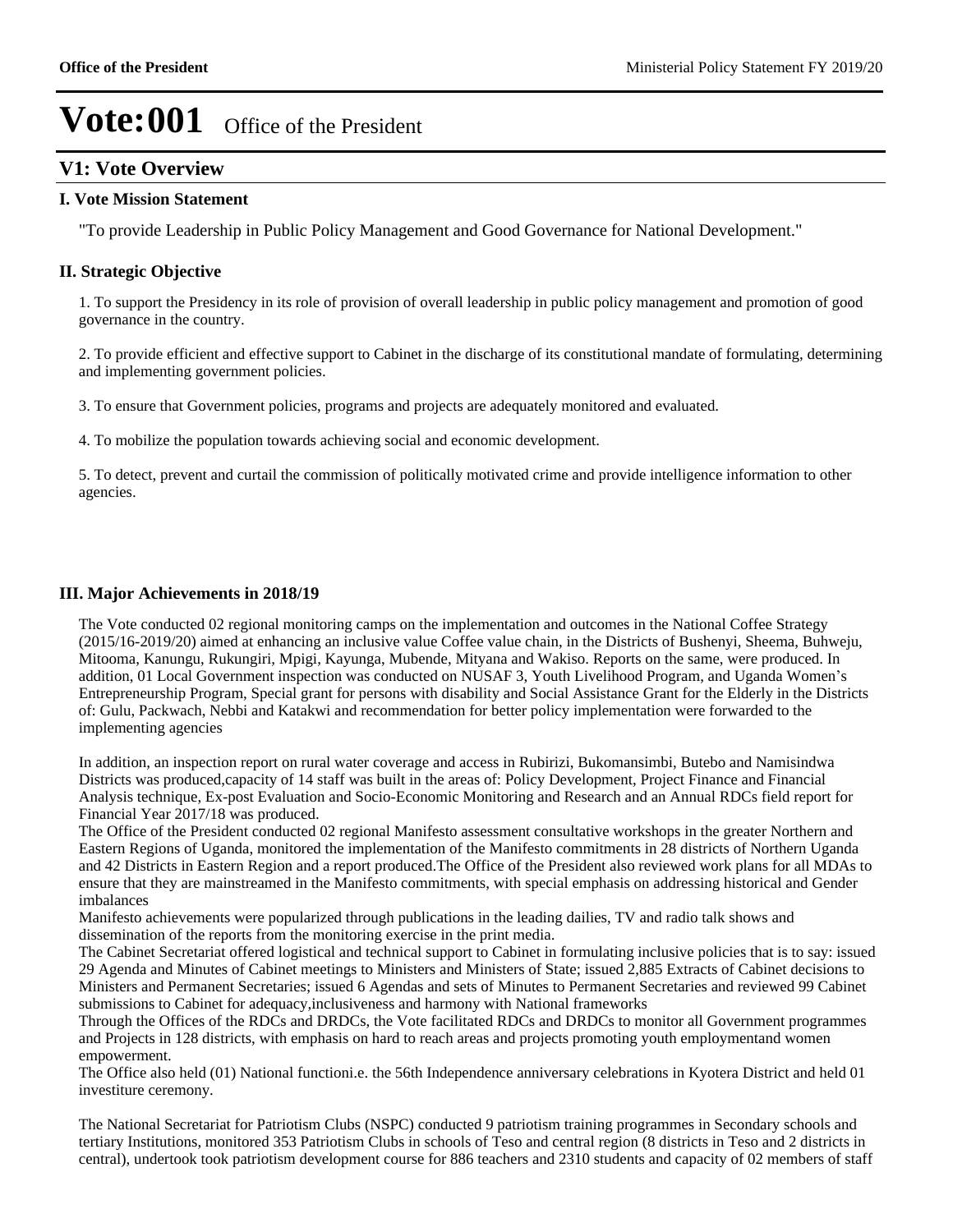## **V1: Vote Overview**

#### **I. Vote Mission Statement**

"To provide Leadership in Public Policy Management and Good Governance for National Development."

#### **II. Strategic Objective**

1. To support the Presidency in its role of provision of overall leadership in public policy management and promotion of good governance in the country.

2. To provide efficient and effective support to Cabinet in the discharge of its constitutional mandate of formulating, determining and implementing government policies.

3. To ensure that Government policies, programs and projects are adequately monitored and evaluated.

4. To mobilize the population towards achieving social and economic development.

5. To detect, prevent and curtail the commission of politically motivated crime and provide intelligence information to other agencies.

#### **III. Major Achievements in 2018/19**

The Vote conducted 02 regional monitoring camps on the implementation and outcomes in the National Coffee Strategy (2015/16-2019/20) aimed at enhancing an inclusive value Coffee value chain, in the Districts of Bushenyi, Sheema, Buhweju, Mitooma, Kanungu, Rukungiri, Mpigi, Kayunga, Mubende, Mityana and Wakiso. Reports on the same, were produced. In addition, 01 Local Government inspection was conducted on NUSAF 3, Youth Livelihood Program, and Uganda Women's Entrepreneurship Program, Special grant for persons with disability and Social Assistance Grant for the Elderly in the Districts of: Gulu, Packwach, Nebbi and Katakwi and recommendation for better policy implementation were forwarded to the implementing agencies

In addition, an inspection report on rural water coverage and access in Rubirizi, Bukomansimbi, Butebo and Namisindwa Districts was produced,capacity of 14 staff was built in the areas of: Policy Development, Project Finance and Financial Analysis technique, Ex-post Evaluation and Socio-Economic Monitoring and Research and an Annual RDCs field report for Financial Year 2017/18 was produced.

The Office of the President conducted 02 regional Manifesto assessment consultative workshops in the greater Northern and Eastern Regions of Uganda, monitored the implementation of the Manifesto commitments in 28 districts of Northern Uganda and 42 Districts in Eastern Region and a report produced.The Office of the President also reviewed work plans for all MDAs to ensure that they are mainstreamed in the Manifesto commitments, with special emphasis on addressing historical and Gender imbalances

Manifesto achievements were popularized through publications in the leading dailies, TV and radio talk shows and dissemination of the reports from the monitoring exercise in the print media.

The Cabinet Secretariat offered logistical and technical support to Cabinet in formulating inclusive policies that is to say: issued 29 Agenda and Minutes of Cabinet meetings to Ministers and Ministers of State; issued 2,885 Extracts of Cabinet decisions to Ministers and Permanent Secretaries; issued 6 Agendas and sets of Minutes to Permanent Secretaries and reviewed 99 Cabinet submissions to Cabinet for adequacy,inclusiveness and harmony with National frameworks

Through the Offices of the RDCs and DRDCs, the Vote facilitated RDCs and DRDCs to monitor all Government programmes and Projects in 128 districts, with emphasis on hard to reach areas and projects promoting youth employmentand women empowerment.

The Office also held (01) National functioni.e. the 56th Independence anniversary celebrations in Kyotera District and held 01 investiture ceremony.

The National Secretariat for Patriotism Clubs (NSPC) conducted 9 patriotism training programmes in Secondary schools and tertiary Institutions, monitored 353 Patriotism Clubs in schools of Teso and central region (8 districts in Teso and 2 districts in central), undertook took patriotism development course for 886 teachers and 2310 students and capacity of 02 members of staff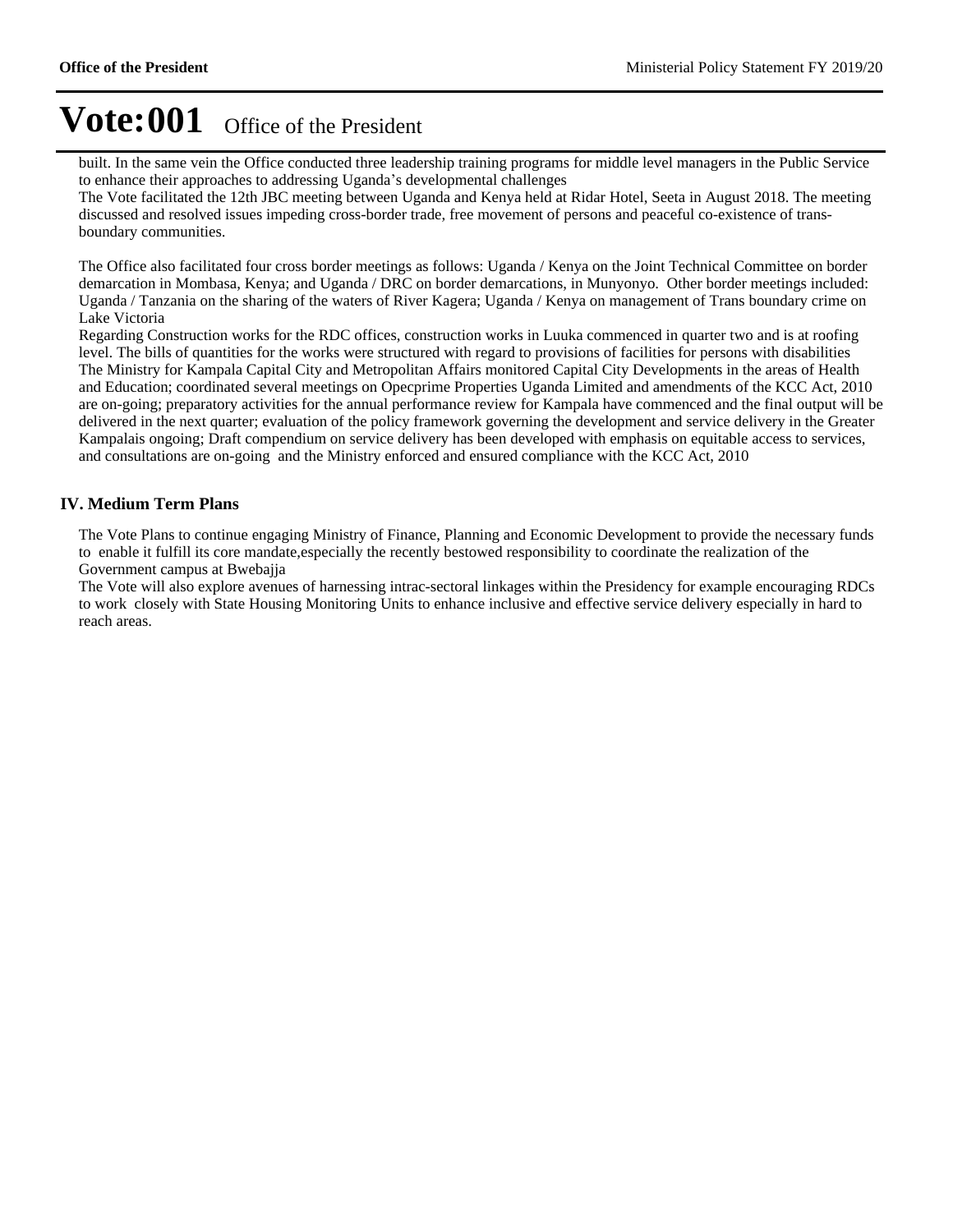built. In the same vein the Office conducted three leadership training programs for middle level managers in the Public Service to enhance their approaches to addressing Uganda's developmental challenges

The Vote facilitated the 12th JBC meeting between Uganda and Kenya held at Ridar Hotel, Seeta in August 2018. The meeting discussed and resolved issues impeding cross-border trade, free movement of persons and peaceful co-existence of transboundary communities.

The Office also facilitated four cross border meetings as follows: Uganda / Kenya on the Joint Technical Committee on border demarcation in Mombasa, Kenya; and Uganda / DRC on border demarcations, in Munyonyo. Other border meetings included: Uganda / Tanzania on the sharing of the waters of River Kagera; Uganda / Kenya on management of Trans boundary crime on Lake Victoria

Regarding Construction works for the RDC offices, construction works in Luuka commenced in quarter two and is at roofing level. The bills of quantities for the works were structured with regard to provisions of facilities for persons with disabilities The Ministry for Kampala Capital City and Metropolitan Affairs monitored Capital City Developments in the areas of Health and Education; coordinated several meetings on Opecprime Properties Uganda Limited and amendments of the KCC Act, 2010 are on-going; preparatory activities for the annual performance review for Kampala have commenced and the final output will be delivered in the next quarter; evaluation of the policy framework governing the development and service delivery in the Greater Kampalais ongoing; Draft compendium on service delivery has been developed with emphasis on equitable access to services, and consultations are on-going and the Ministry enforced and ensured compliance with the KCC Act, 2010

### **IV. Medium Term Plans**

The Vote Plans to continue engaging Ministry of Finance, Planning and Economic Development to provide the necessary funds to enable it fulfill its core mandate,especially the recently bestowed responsibility to coordinate the realization of the Government campus at Bwebajja

The Vote will also explore avenues of harnessing intrac-sectoral linkages within the Presidency for example encouraging RDCs to work closely with State Housing Monitoring Units to enhance inclusive and effective service delivery especially in hard to reach areas.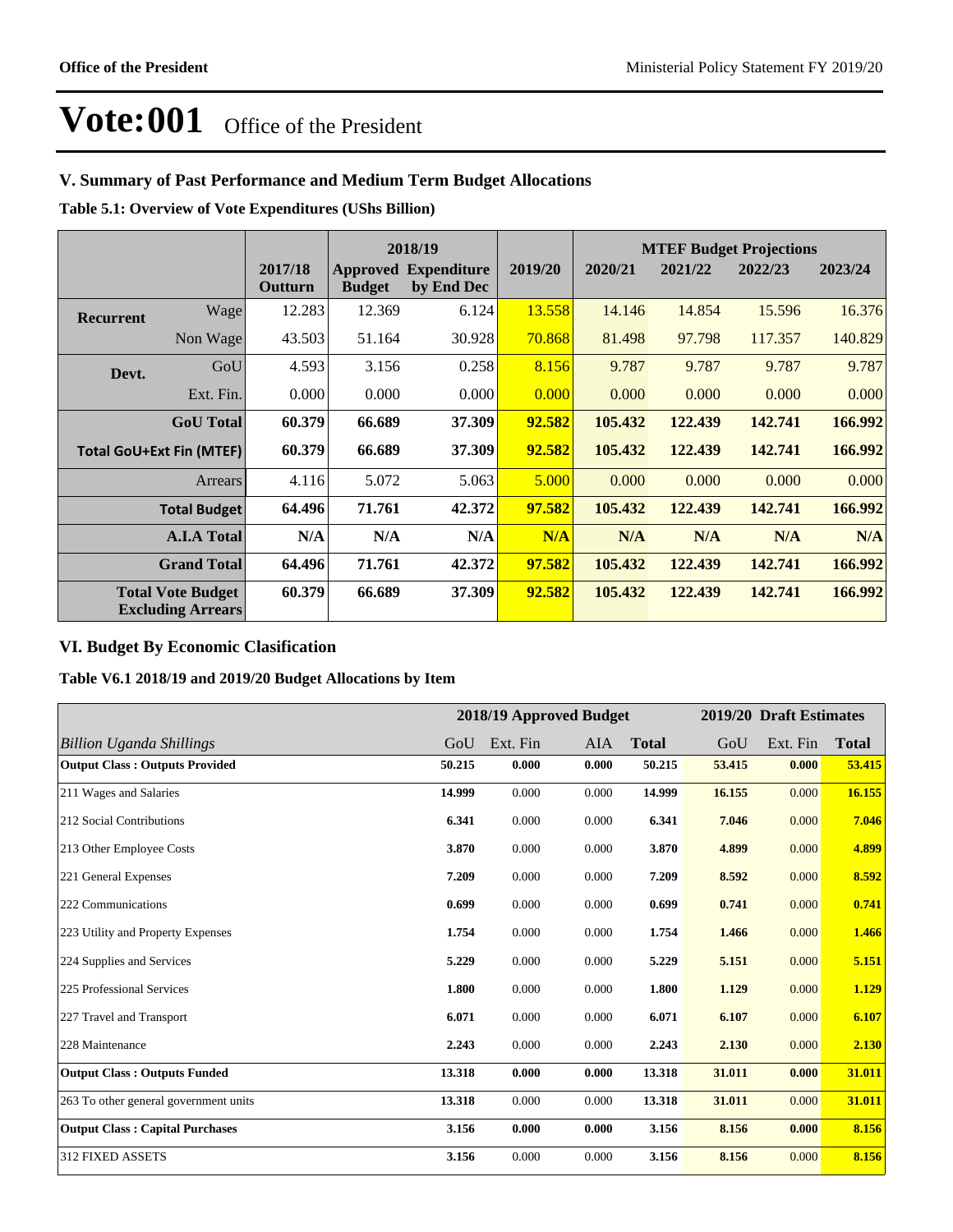## **V. Summary of Past Performance and Medium Term Budget Allocations**

**Table 5.1: Overview of Vote Expenditures (UShs Billion)**

|                  |                                                      |                    |               | 2018/19                                   |         |         |         | <b>MTEF Budget Projections</b> |         |
|------------------|------------------------------------------------------|--------------------|---------------|-------------------------------------------|---------|---------|---------|--------------------------------|---------|
|                  |                                                      | 2017/18<br>Outturn | <b>Budget</b> | <b>Approved Expenditure</b><br>by End Dec | 2019/20 | 2020/21 | 2021/22 | 2022/23                        | 2023/24 |
| <b>Recurrent</b> | Wage                                                 | 12.283             | 12.369        | 6.124                                     | 13.558  | 14.146  | 14.854  | 15.596                         | 16.376  |
|                  | Non Wage                                             | 43.503             | 51.164        | 30.928                                    | 70.868  | 81.498  | 97.798  | 117.357                        | 140.829 |
| Devt.            | GoU                                                  | 4.593              | 3.156         | 0.258                                     | 8.156   | 9.787   | 9.787   | 9.787                          | 9.787   |
|                  | Ext. Fin.                                            | 0.000              | 0.000         | 0.000                                     | 0.000   | 0.000   | 0.000   | 0.000                          | 0.000   |
|                  | <b>GoU</b> Total                                     | 60.379             | 66.689        | 37.309                                    | 92.582  | 105.432 | 122.439 | 142.741                        | 166.992 |
|                  | <b>Total GoU+Ext Fin (MTEF)</b>                      | 60.379             | 66.689        | 37.309                                    | 92.582  | 105.432 | 122.439 | 142.741                        | 166.992 |
|                  | Arrears                                              | 4.116              | 5.072         | 5.063                                     | 5.000   | 0.000   | 0.000   | 0.000                          | 0.000   |
|                  | <b>Total Budget</b>                                  | 64.496             | 71.761        | 42.372                                    | 97.582  | 105.432 | 122.439 | 142.741                        | 166.992 |
|                  | <b>A.I.A Total</b>                                   | N/A                | N/A           | N/A                                       | N/A     | N/A     | N/A     | N/A                            | N/A     |
|                  | <b>Grand Total</b>                                   | 64.496             | 71.761        | 42.372                                    | 97.582  | 105.432 | 122.439 | 142.741                        | 166.992 |
|                  | <b>Total Vote Budget</b><br><b>Excluding Arrears</b> | 60.379             | 66.689        | 37.309                                    | 92.582  | 105.432 | 122.439 | 142.741                        | 166.992 |

## **VI. Budget By Economic Clasification**

**Table V6.1 2018/19 and 2019/20 Budget Allocations by Item**

|                                        |        |          | 2018/19 Approved Budget |              |        | 2019/20 Draft Estimates |              |
|----------------------------------------|--------|----------|-------------------------|--------------|--------|-------------------------|--------------|
| Billion Uganda Shillings               | GoU    | Ext. Fin | <b>AIA</b>              | <b>Total</b> | GoU    | Ext. Fin                | <b>Total</b> |
| <b>Output Class: Outputs Provided</b>  | 50.215 | 0.000    | 0.000                   | 50.215       | 53.415 | 0.000                   | 53.415       |
| 211 Wages and Salaries                 | 14.999 | 0.000    | 0.000                   | 14.999       | 16.155 | 0.000                   | 16.155       |
| 212 Social Contributions               | 6.341  | 0.000    | 0.000                   | 6.341        | 7.046  | 0.000                   | 7.046        |
| 213 Other Employee Costs               | 3.870  | 0.000    | 0.000                   | 3.870        | 4.899  | 0.000                   | 4.899        |
| 221 General Expenses                   | 7.209  | 0.000    | 0.000                   | 7.209        | 8.592  | 0.000                   | 8.592        |
| 222 Communications                     | 0.699  | 0.000    | 0.000                   | 0.699        | 0.741  | 0.000                   | 0.741        |
| 223 Utility and Property Expenses      | 1.754  | 0.000    | 0.000                   | 1.754        | 1.466  | 0.000                   | 1.466        |
| 224 Supplies and Services              | 5.229  | 0.000    | 0.000                   | 5.229        | 5.151  | 0.000                   | 5.151        |
| 225 Professional Services              | 1.800  | 0.000    | 0.000                   | 1.800        | 1.129  | 0.000                   | 1.129        |
| 227 Travel and Transport               | 6.071  | 0.000    | 0.000                   | 6.071        | 6.107  | 0.000                   | 6.107        |
| 228 Maintenance                        | 2.243  | 0.000    | 0.000                   | 2.243        | 2.130  | 0.000                   | 2.130        |
| <b>Output Class: Outputs Funded</b>    | 13.318 | 0.000    | 0.000                   | 13.318       | 31.011 | 0.000                   | 31.011       |
| 263 To other general government units  | 13.318 | 0.000    | 0.000                   | 13.318       | 31.011 | 0.000                   | 31.011       |
| <b>Output Class: Capital Purchases</b> | 3.156  | 0.000    | 0.000                   | 3.156        | 8.156  | 0.000                   | 8.156        |
| 312 FIXED ASSETS                       | 3.156  | 0.000    | 0.000                   | 3.156        | 8.156  | 0.000                   | 8.156        |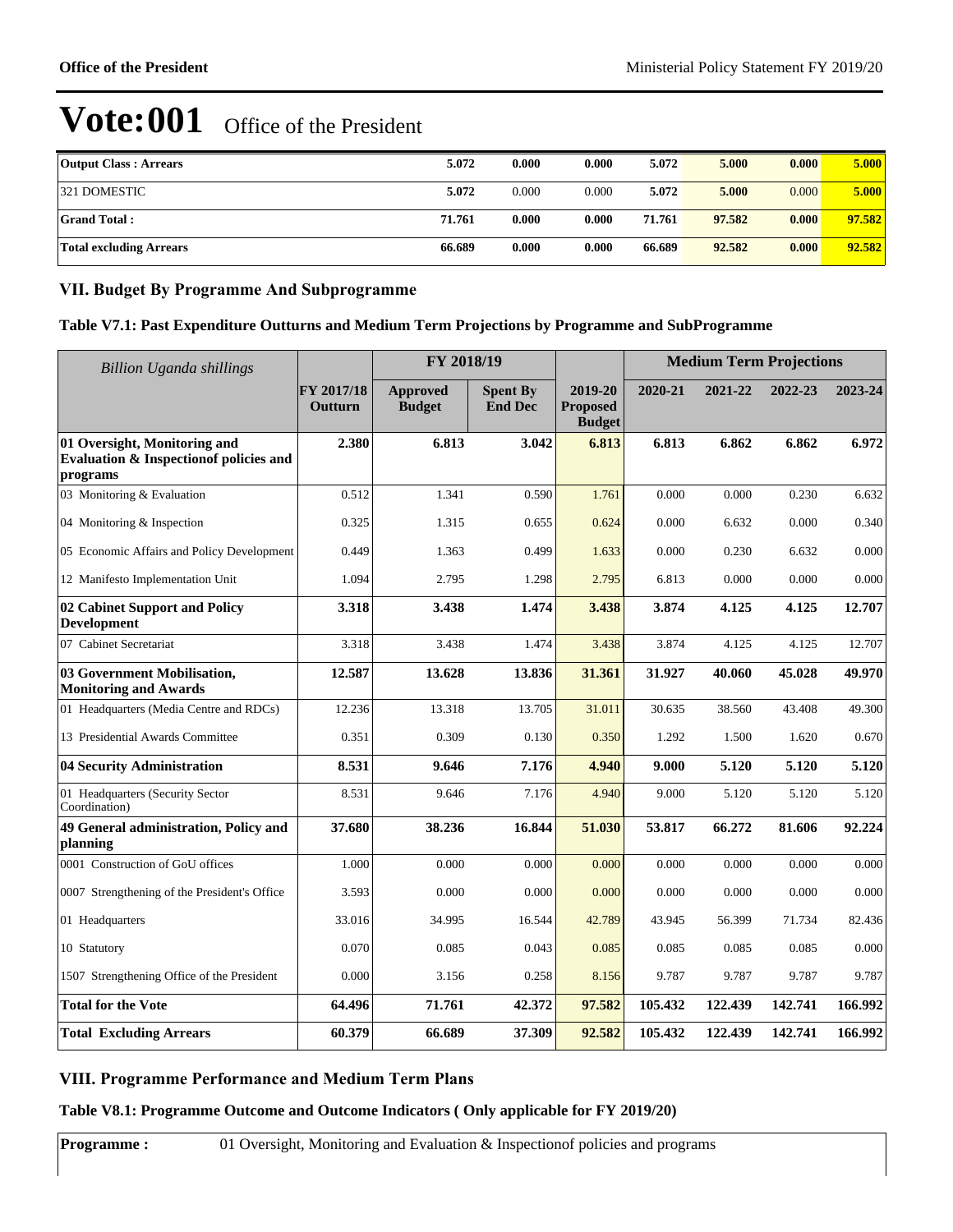| <b>Output Class: Arrears</b>   | 5.072  | 0.000 | 0.000 | 5.072  | 5.000  | 0.000 | 5.000  |
|--------------------------------|--------|-------|-------|--------|--------|-------|--------|
| 321 DOMESTIC                   | 5.072  | 0.000 | 0.000 | 5.072  | 5.000  | 0.000 | 5.000  |
| <b>Grand Total:</b>            | 71.761 | 0.000 | 0.000 | 71.761 | 97.582 | 0.000 | 97.582 |
| <b>Total excluding Arrears</b> | 66.689 | 0.000 | 0.000 | 66.689 | 92.582 | 0.000 | 92.582 |

### **VII. Budget By Programme And Subprogramme**

### **Table V7.1: Past Expenditure Outturns and Medium Term Projections by Programme and SubProgramme**

| <b>Billion Uganda shillings</b>                                                     | FY 2018/19            |                                  |                                   |                                             | <b>Medium Term Projections</b> |         |         |         |  |
|-------------------------------------------------------------------------------------|-----------------------|----------------------------------|-----------------------------------|---------------------------------------------|--------------------------------|---------|---------|---------|--|
|                                                                                     | FY 2017/18<br>Outturn | <b>Approved</b><br><b>Budget</b> | <b>Spent By</b><br><b>End Dec</b> | 2019-20<br><b>Proposed</b><br><b>Budget</b> | 2020-21                        | 2021-22 | 2022-23 | 2023-24 |  |
| 01 Oversight, Monitoring and<br>Evaluation & Inspection of policies and<br>programs | 2.380                 | 6.813                            | 3.042                             | 6.813                                       | 6.813                          | 6.862   | 6.862   | 6.972   |  |
| 03 Monitoring & Evaluation                                                          | 0.512                 | 1.341                            | 0.590                             | 1.761                                       | 0.000                          | 0.000   | 0.230   | 6.632   |  |
| 04 Monitoring & Inspection                                                          | 0.325                 | 1.315                            | 0.655                             | 0.624                                       | 0.000                          | 6.632   | 0.000   | 0.340   |  |
| 05 Economic Affairs and Policy Development                                          | 0.449                 | 1.363                            | 0.499                             | 1.633                                       | 0.000                          | 0.230   | 6.632   | 0.000   |  |
| 12 Manifesto Implementation Unit                                                    | 1.094                 | 2.795                            | 1.298                             | 2.795                                       | 6.813                          | 0.000   | 0.000   | 0.000   |  |
| 02 Cabinet Support and Policy<br><b>Development</b>                                 | 3.318                 | 3.438                            | 1.474                             | 3.438                                       | 3.874                          | 4.125   | 4.125   | 12.707  |  |
| 07 Cabinet Secretariat                                                              | 3.318                 | 3.438                            | 1.474                             | 3.438                                       | 3.874                          | 4.125   | 4.125   | 12.707  |  |
| 03 Government Mobilisation,<br><b>Monitoring and Awards</b>                         | 12.587                | 13.628                           | 13.836                            | 31.361                                      | 31.927                         | 40.060  | 45.028  | 49.970  |  |
| 01 Headquarters (Media Centre and RDCs)                                             | 12.236                | 13.318                           | 13.705                            | 31.011                                      | 30.635                         | 38.560  | 43.408  | 49.300  |  |
| 13 Presidential Awards Committee                                                    | 0.351                 | 0.309                            | 0.130                             | 0.350                                       | 1.292                          | 1.500   | 1.620   | 0.670   |  |
| 04 Security Administration                                                          | 8.531                 | 9.646                            | 7.176                             | 4.940                                       | 9.000                          | 5.120   | 5.120   | 5.120   |  |
| 01 Headquarters (Security Sector<br>Coordination)                                   | 8.531                 | 9.646                            | 7.176                             | 4.940                                       | 9.000                          | 5.120   | 5.120   | 5.120   |  |
| 49 General administration, Policy and<br>planning                                   | 37.680                | 38.236                           | 16.844                            | 51.030                                      | 53.817                         | 66.272  | 81.606  | 92.224  |  |
| 0001 Construction of GoU offices                                                    | 1.000                 | 0.000                            | 0.000                             | 0.000                                       | 0.000                          | 0.000   | 0.000   | 0.000   |  |
| 0007 Strengthening of the President's Office                                        | 3.593                 | 0.000                            | 0.000                             | 0.000                                       | 0.000                          | 0.000   | 0.000   | 0.000   |  |
| 01 Headquarters                                                                     | 33.016                | 34.995                           | 16.544                            | 42.789                                      | 43.945                         | 56.399  | 71.734  | 82.436  |  |
| 10 Statutory                                                                        | 0.070                 | 0.085                            | 0.043                             | 0.085                                       | 0.085                          | 0.085   | 0.085   | 0.000   |  |
| 1507 Strengthening Office of the President                                          | 0.000                 | 3.156                            | 0.258                             | 8.156                                       | 9.787                          | 9.787   | 9.787   | 9.787   |  |
| <b>Total for the Vote</b>                                                           | 64.496                | 71.761                           | 42.372                            | 97.582                                      | 105.432                        | 122.439 | 142.741 | 166.992 |  |
| <b>Total Excluding Arrears</b>                                                      | 60.379                | 66.689                           | 37.309                            | 92.582                                      | 105.432                        | 122.439 | 142.741 | 166.992 |  |

### **VIII. Programme Performance and Medium Term Plans**

**Table V8.1: Programme Outcome and Outcome Indicators ( Only applicable for FY 2019/20)**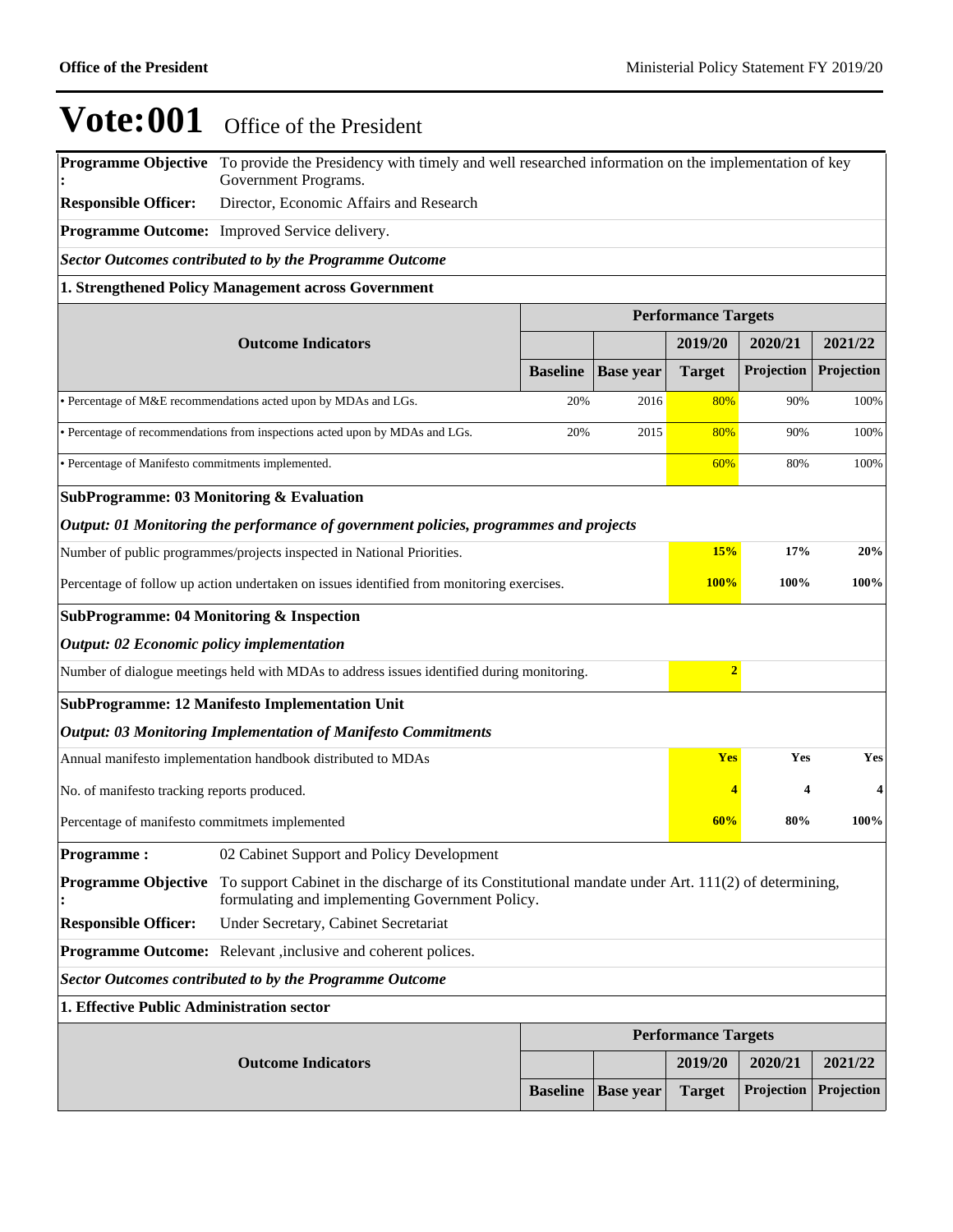**Programme Objective**  To provide the Presidency with timely and well researched information on the implementation of key **:** Government Programs.

**Responsible Officer:** Director, Economic Affairs and Research

**Programme Outcome:** Improved Service delivery.

*Sector Outcomes contributed to by the Programme Outcome*

#### **1. Strengthened Policy Management across Government**

|                                                     |                                                                                                                                                        | <b>Performance Targets</b> |                  |                            |                   |                         |
|-----------------------------------------------------|--------------------------------------------------------------------------------------------------------------------------------------------------------|----------------------------|------------------|----------------------------|-------------------|-------------------------|
|                                                     | <b>Outcome Indicators</b>                                                                                                                              |                            |                  | 2019/20                    | 2020/21           | 2021/22                 |
|                                                     |                                                                                                                                                        | <b>Baseline</b>            | <b>Base year</b> | <b>Target</b>              | Projection        | Projection              |
|                                                     | • Percentage of M&E recommendations acted upon by MDAs and LGs.                                                                                        | 20%                        | 2016             | 80%                        | 90%               | 100%                    |
|                                                     | • Percentage of recommendations from inspections acted upon by MDAs and LGs.                                                                           | 20%                        | 2015             | 80%                        | 90%               | 100%                    |
| · Percentage of Manifesto commitments implemented.  |                                                                                                                                                        |                            |                  | 60%                        | 80%               | 100%                    |
| <b>SubProgramme: 03 Monitoring &amp; Evaluation</b> |                                                                                                                                                        |                            |                  |                            |                   |                         |
|                                                     | Output: 01 Monitoring the performance of government policies, programmes and projects                                                                  |                            |                  |                            |                   |                         |
|                                                     | Number of public programmes/projects inspected in National Priorities.                                                                                 |                            |                  | 15%                        | 17%               | 20%                     |
|                                                     | Percentage of follow up action undertaken on issues identified from monitoring exercises.                                                              |                            |                  | 100%                       | 100%              | 100%                    |
| <b>SubProgramme: 04 Monitoring &amp; Inspection</b> |                                                                                                                                                        |                            |                  |                            |                   |                         |
| <b>Output: 02 Economic policy implementation</b>    |                                                                                                                                                        |                            |                  |                            |                   |                         |
|                                                     | Number of dialogue meetings held with MDAs to address issues identified during monitoring.                                                             |                            |                  | $\overline{2}$             |                   |                         |
|                                                     | <b>SubProgramme: 12 Manifesto Implementation Unit</b>                                                                                                  |                            |                  |                            |                   |                         |
|                                                     | <b>Output: 03 Monitoring Implementation of Manifesto Commitments</b>                                                                                   |                            |                  |                            |                   |                         |
|                                                     | Annual manifesto implementation handbook distributed to MDAs                                                                                           |                            |                  | <b>Yes</b>                 | Yes               | Yes                     |
| No. of manifesto tracking reports produced.         |                                                                                                                                                        |                            |                  | 4                          | 4                 | $\overline{\mathbf{4}}$ |
| Percentage of manifesto commitmets implemented      |                                                                                                                                                        |                            |                  | 60%                        | 80%               | 100%                    |
| <b>Programme:</b>                                   | 02 Cabinet Support and Policy Development                                                                                                              |                            |                  |                            |                   |                         |
| <b>Programme Objective</b>                          | To support Cabinet in the discharge of its Constitutional mandate under Art. 111(2) of determining,<br>formulating and implementing Government Policy. |                            |                  |                            |                   |                         |
| <b>Responsible Officer:</b>                         | Under Secretary, Cabinet Secretariat                                                                                                                   |                            |                  |                            |                   |                         |
|                                                     | <b>Programme Outcome:</b> Relevant , inclusive and coherent polices.                                                                                   |                            |                  |                            |                   |                         |
|                                                     | <b>Sector Outcomes contributed to by the Programme Outcome</b>                                                                                         |                            |                  |                            |                   |                         |
| 1. Effective Public Administration sector           |                                                                                                                                                        |                            |                  |                            |                   |                         |
|                                                     |                                                                                                                                                        |                            |                  | <b>Performance Targets</b> |                   |                         |
|                                                     | <b>Outcome Indicators</b>                                                                                                                              |                            |                  | 2019/20                    | 2020/21           | 2021/22                 |
|                                                     |                                                                                                                                                        | <b>Baseline</b>            | Base vear        | <b>Target</b>              | <b>Projection</b> | Projection              |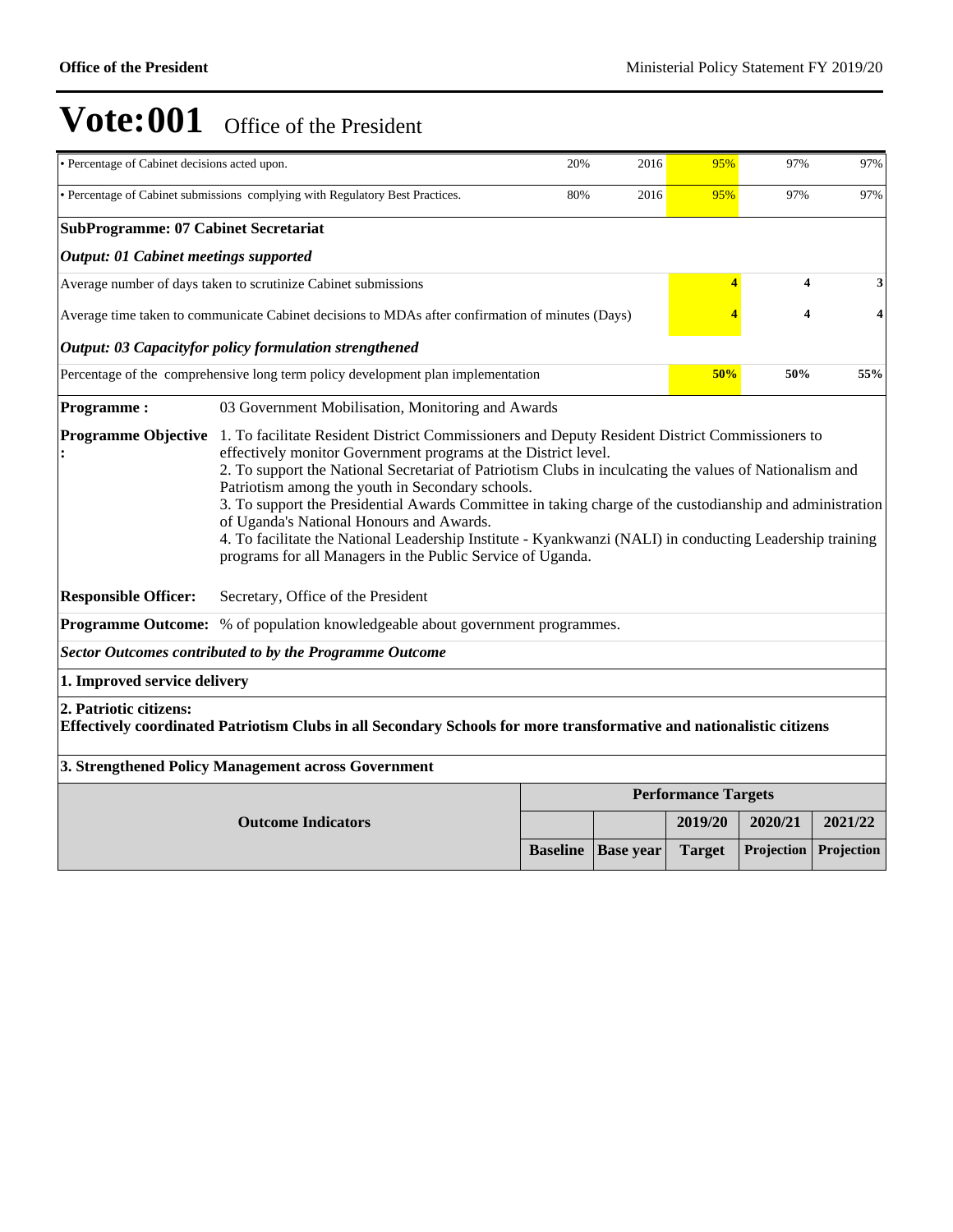| • Percentage of Cabinet decisions acted upon.                                                                                                                                                         |                                                                                                                                                                                                                                                                                                                                                                                                                                                                                                                                                                 | 20% | 2016 | 95%                        | 97%     | 97%     |  |  |  |  |
|-------------------------------------------------------------------------------------------------------------------------------------------------------------------------------------------------------|-----------------------------------------------------------------------------------------------------------------------------------------------------------------------------------------------------------------------------------------------------------------------------------------------------------------------------------------------------------------------------------------------------------------------------------------------------------------------------------------------------------------------------------------------------------------|-----|------|----------------------------|---------|---------|--|--|--|--|
|                                                                                                                                                                                                       | • Percentage of Cabinet submissions complying with Regulatory Best Practices.<br>80%<br>2016<br>95%<br>97%<br>97%                                                                                                                                                                                                                                                                                                                                                                                                                                               |     |      |                            |         |         |  |  |  |  |
| <b>SubProgramme: 07 Cabinet Secretariat</b>                                                                                                                                                           |                                                                                                                                                                                                                                                                                                                                                                                                                                                                                                                                                                 |     |      |                            |         |         |  |  |  |  |
| <b>Output: 01 Cabinet meetings supported</b>                                                                                                                                                          |                                                                                                                                                                                                                                                                                                                                                                                                                                                                                                                                                                 |     |      |                            |         |         |  |  |  |  |
|                                                                                                                                                                                                       | Average number of days taken to scrutinize Cabinet submissions                                                                                                                                                                                                                                                                                                                                                                                                                                                                                                  |     |      | $\overline{\mathbf{4}}$    | 4       | 3       |  |  |  |  |
|                                                                                                                                                                                                       | Average time taken to communicate Cabinet decisions to MDAs after confirmation of minutes (Days)                                                                                                                                                                                                                                                                                                                                                                                                                                                                |     |      |                            | 4       | 4       |  |  |  |  |
|                                                                                                                                                                                                       | <b>Output: 03 Capacityfor policy formulation strengthened</b>                                                                                                                                                                                                                                                                                                                                                                                                                                                                                                   |     |      |                            |         |         |  |  |  |  |
|                                                                                                                                                                                                       | Percentage of the comprehensive long term policy development plan implementation                                                                                                                                                                                                                                                                                                                                                                                                                                                                                |     |      | 50%                        | 50%     | 55%     |  |  |  |  |
| <b>Programme:</b>                                                                                                                                                                                     | 03 Government Mobilisation, Monitoring and Awards                                                                                                                                                                                                                                                                                                                                                                                                                                                                                                               |     |      |                            |         |         |  |  |  |  |
|                                                                                                                                                                                                       | effectively monitor Government programs at the District level.<br>2. To support the National Secretariat of Patriotism Clubs in inculcating the values of Nationalism and<br>Patriotism among the youth in Secondary schools.<br>3. To support the Presidential Awards Committee in taking charge of the custodianship and administration<br>of Uganda's National Honours and Awards.<br>4. To facilitate the National Leadership Institute - Kyankwanzi (NALI) in conducting Leadership training<br>programs for all Managers in the Public Service of Uganda. |     |      |                            |         |         |  |  |  |  |
| <b>Responsible Officer:</b>                                                                                                                                                                           | Secretary, Office of the President<br>Programme Outcome: % of population knowledgeable about government programmes.                                                                                                                                                                                                                                                                                                                                                                                                                                             |     |      |                            |         |         |  |  |  |  |
|                                                                                                                                                                                                       | <b>Sector Outcomes contributed to by the Programme Outcome</b>                                                                                                                                                                                                                                                                                                                                                                                                                                                                                                  |     |      |                            |         |         |  |  |  |  |
| 1. Improved service delivery                                                                                                                                                                          |                                                                                                                                                                                                                                                                                                                                                                                                                                                                                                                                                                 |     |      |                            |         |         |  |  |  |  |
| 2. Patriotic citizens:<br>Effectively coordinated Patriotism Clubs in all Secondary Schools for more transformative and nationalistic citizens<br>3. Strengthened Policy Management across Government |                                                                                                                                                                                                                                                                                                                                                                                                                                                                                                                                                                 |     |      |                            |         |         |  |  |  |  |
|                                                                                                                                                                                                       |                                                                                                                                                                                                                                                                                                                                                                                                                                                                                                                                                                 |     |      | <b>Performance Targets</b> |         |         |  |  |  |  |
|                                                                                                                                                                                                       | <b>Outcome Indicators</b>                                                                                                                                                                                                                                                                                                                                                                                                                                                                                                                                       |     |      | 2019/20                    | 2020/21 | 2021/22 |  |  |  |  |
|                                                                                                                                                                                                       | Projection<br>Projection<br><b>Baseline</b><br><b>Base year</b><br><b>Target</b>                                                                                                                                                                                                                                                                                                                                                                                                                                                                                |     |      |                            |         |         |  |  |  |  |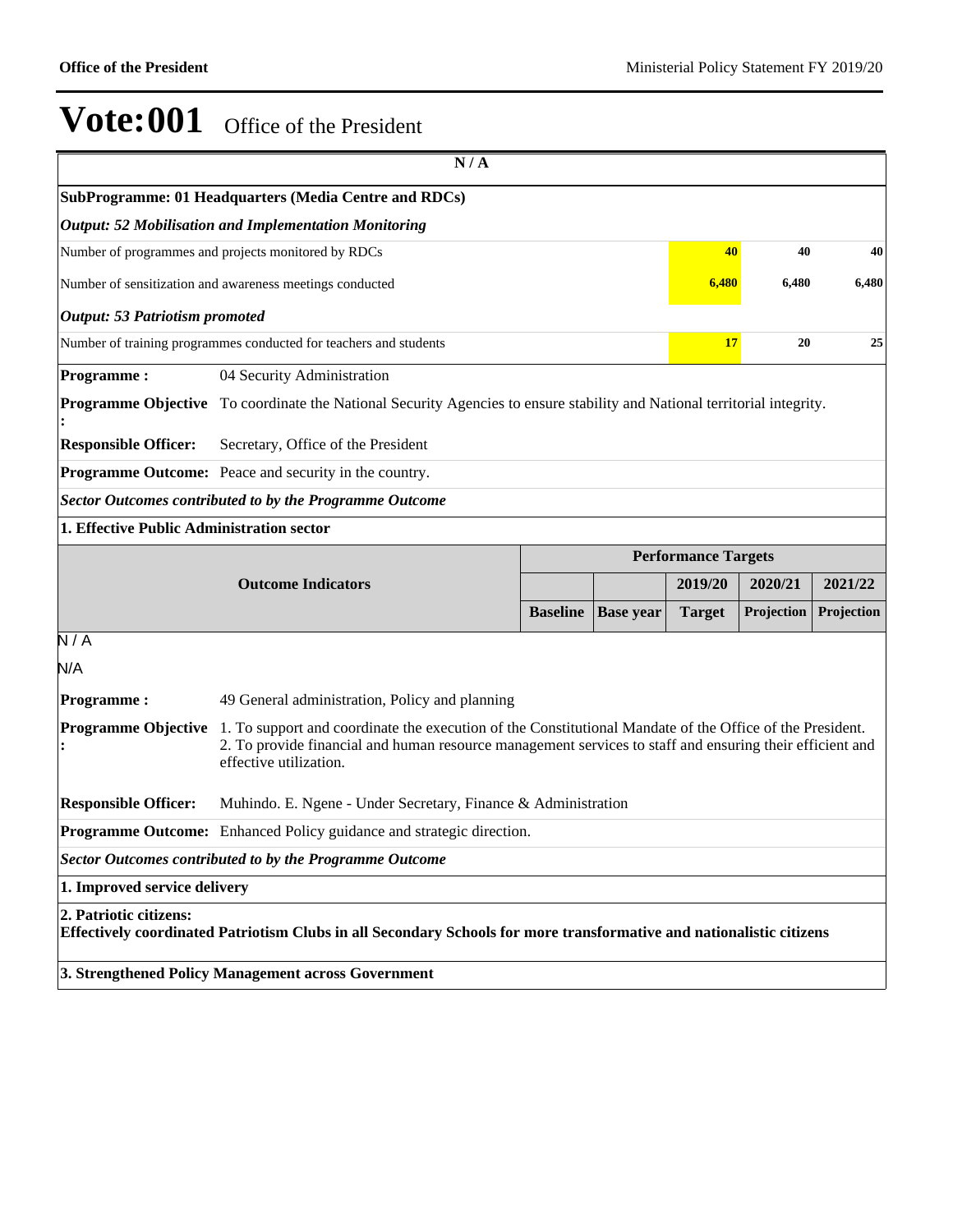|                                                                                                             | N/A                                                                                                                                                                                                                                            |                 |                  |                            |            |            |  |  |
|-------------------------------------------------------------------------------------------------------------|------------------------------------------------------------------------------------------------------------------------------------------------------------------------------------------------------------------------------------------------|-----------------|------------------|----------------------------|------------|------------|--|--|
|                                                                                                             | SubProgramme: 01 Headquarters (Media Centre and RDCs)                                                                                                                                                                                          |                 |                  |                            |            |            |  |  |
|                                                                                                             | <b>Output: 52 Mobilisation and Implementation Monitoring</b>                                                                                                                                                                                   |                 |                  |                            |            |            |  |  |
|                                                                                                             | 40<br>Number of programmes and projects monitored by RDCs<br>40<br>40                                                                                                                                                                          |                 |                  |                            |            |            |  |  |
|                                                                                                             | Number of sensitization and awareness meetings conducted                                                                                                                                                                                       |                 |                  | 6,480                      | 6,480      | 6,480      |  |  |
| <b>Output: 53 Patriotism promoted</b>                                                                       |                                                                                                                                                                                                                                                |                 |                  |                            |            |            |  |  |
|                                                                                                             | Number of training programmes conducted for teachers and students                                                                                                                                                                              |                 |                  | 17                         | 20         | 25         |  |  |
| <b>Programme:</b>                                                                                           | 04 Security Administration                                                                                                                                                                                                                     |                 |                  |                            |            |            |  |  |
|                                                                                                             | <b>Programme Objective</b> To coordinate the National Security Agencies to ensure stability and National territorial integrity.                                                                                                                |                 |                  |                            |            |            |  |  |
| <b>Responsible Officer:</b>                                                                                 | Secretary, Office of the President                                                                                                                                                                                                             |                 |                  |                            |            |            |  |  |
|                                                                                                             | <b>Programme Outcome:</b> Peace and security in the country.                                                                                                                                                                                   |                 |                  |                            |            |            |  |  |
|                                                                                                             |                                                                                                                                                                                                                                                |                 |                  |                            |            |            |  |  |
| <b>Sector Outcomes contributed to by the Programme Outcome</b><br>1. Effective Public Administration sector |                                                                                                                                                                                                                                                |                 |                  |                            |            |            |  |  |
|                                                                                                             |                                                                                                                                                                                                                                                |                 |                  | <b>Performance Targets</b> |            |            |  |  |
|                                                                                                             | <b>Outcome Indicators</b>                                                                                                                                                                                                                      |                 |                  | 2019/20                    | 2020/21    | 2021/22    |  |  |
|                                                                                                             |                                                                                                                                                                                                                                                | <b>Baseline</b> | <b>Base year</b> | <b>Target</b>              | Projection | Projection |  |  |
| $\overline{N/A}$                                                                                            |                                                                                                                                                                                                                                                |                 |                  |                            |            |            |  |  |
| N/A                                                                                                         |                                                                                                                                                                                                                                                |                 |                  |                            |            |            |  |  |
| <b>Programme:</b>                                                                                           | 49 General administration, Policy and planning                                                                                                                                                                                                 |                 |                  |                            |            |            |  |  |
| <b>Programme Objective</b>                                                                                  | 1. To support and coordinate the execution of the Constitutional Mandate of the Office of the President.<br>2. To provide financial and human resource management services to staff and ensuring their efficient and<br>effective utilization. |                 |                  |                            |            |            |  |  |
| <b>Responsible Officer:</b>                                                                                 | Muhindo. E. Ngene - Under Secretary, Finance & Administration                                                                                                                                                                                  |                 |                  |                            |            |            |  |  |
|                                                                                                             | Programme Outcome: Enhanced Policy guidance and strategic direction.                                                                                                                                                                           |                 |                  |                            |            |            |  |  |
|                                                                                                             | <b>Sector Outcomes contributed to by the Programme Outcome</b>                                                                                                                                                                                 |                 |                  |                            |            |            |  |  |
| 1. Improved service delivery                                                                                |                                                                                                                                                                                                                                                |                 |                  |                            |            |            |  |  |
| 2. Patriotic citizens:                                                                                      | Effectively coordinated Patriotism Clubs in all Secondary Schools for more transformative and nationalistic citizens                                                                                                                           |                 |                  |                            |            |            |  |  |
|                                                                                                             | 3. Strengthened Policy Management across Government                                                                                                                                                                                            |                 |                  |                            |            |            |  |  |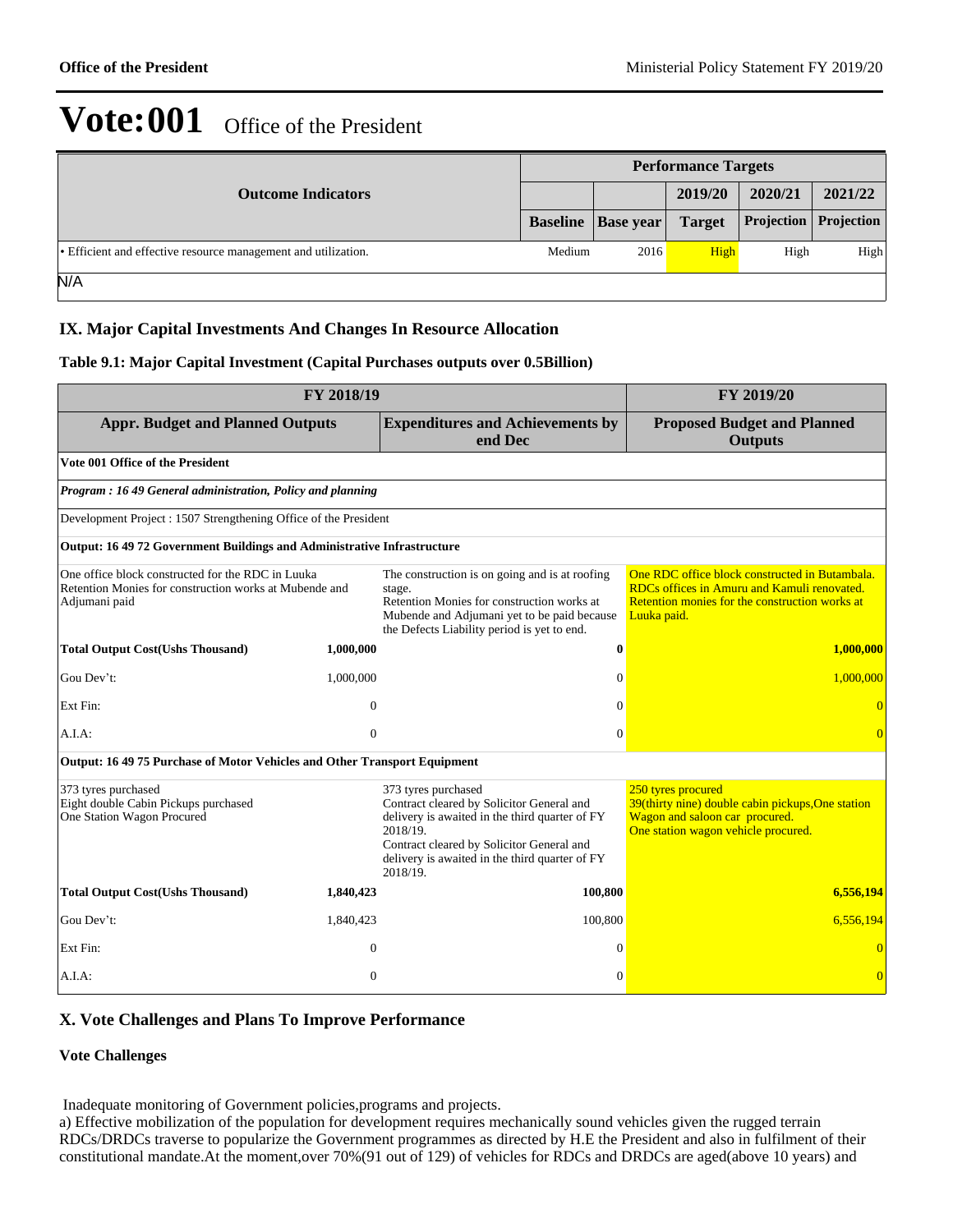| <b>Outcome Indicators</b>                                      |        | <b>Performance Targets</b>         |               |         |                                |  |  |
|----------------------------------------------------------------|--------|------------------------------------|---------------|---------|--------------------------------|--|--|
|                                                                |        |                                    | 2019/20       | 2020/21 | 2021/22                        |  |  |
|                                                                |        | <b>Baseline</b>   <b>Base</b> year | <b>Target</b> |         | <b>Projection</b>   Projection |  |  |
| • Efficient and effective resource management and utilization. | Medium | 2016                               | High          | High    | High                           |  |  |
| N/A                                                            |        |                                    |               |         |                                |  |  |

## **IX. Major Capital Investments And Changes In Resource Allocation**

#### **Table 9.1: Major Capital Investment (Capital Purchases outputs over 0.5Billion)**

|                                                                                                                              | FY 2018/19                                                                                    |                                                                                                                                                                                                                                           | FY 2019/20                                                                                                                                                     |
|------------------------------------------------------------------------------------------------------------------------------|-----------------------------------------------------------------------------------------------|-------------------------------------------------------------------------------------------------------------------------------------------------------------------------------------------------------------------------------------------|----------------------------------------------------------------------------------------------------------------------------------------------------------------|
|                                                                                                                              | <b>Appr. Budget and Planned Outputs</b><br><b>Expenditures and Achievements by</b><br>end Dec |                                                                                                                                                                                                                                           |                                                                                                                                                                |
| Vote 001 Office of the President                                                                                             |                                                                                               |                                                                                                                                                                                                                                           |                                                                                                                                                                |
| Program: 16 49 General administration, Policy and planning                                                                   |                                                                                               |                                                                                                                                                                                                                                           |                                                                                                                                                                |
| Development Project : 1507 Strengthening Office of the President                                                             |                                                                                               |                                                                                                                                                                                                                                           |                                                                                                                                                                |
| Output: 16 49 72 Government Buildings and Administrative Infrastructure                                                      |                                                                                               |                                                                                                                                                                                                                                           |                                                                                                                                                                |
| One office block constructed for the RDC in Luuka<br>Retention Monies for construction works at Mubende and<br>Adjumani paid |                                                                                               | The construction is on going and is at roofing<br>stage.<br>Retention Monies for construction works at<br>Mubende and Adjumani yet to be paid because<br>the Defects Liability period is yet to end.                                      | One RDC office block constructed in Butambala.<br>RDCs offices in Amuru and Kamuli renovated.<br>Retention monies for the construction works at<br>Luuka paid. |
| <b>Total Output Cost(Ushs Thousand)</b>                                                                                      | 1,000,000                                                                                     | $\bf{0}$                                                                                                                                                                                                                                  | 1,000,000                                                                                                                                                      |
| Gou Dev't:                                                                                                                   | 1,000,000                                                                                     | $\Omega$                                                                                                                                                                                                                                  | 1,000,000                                                                                                                                                      |
| Ext Fin:                                                                                                                     | $\Omega$                                                                                      | $\Omega$                                                                                                                                                                                                                                  |                                                                                                                                                                |
| A.I.A:                                                                                                                       | $\mathbf{0}$                                                                                  | $\Omega$                                                                                                                                                                                                                                  |                                                                                                                                                                |
| Output: 16 49 75 Purchase of Motor Vehicles and Other Transport Equipment                                                    |                                                                                               |                                                                                                                                                                                                                                           |                                                                                                                                                                |
| 373 tyres purchased<br>Eight double Cabin Pickups purchased<br>One Station Wagon Procured                                    |                                                                                               | 373 tyres purchased<br>Contract cleared by Solicitor General and<br>delivery is awaited in the third quarter of FY<br>2018/19.<br>Contract cleared by Solicitor General and<br>delivery is awaited in the third quarter of FY<br>2018/19. | 250 tyres procured<br>39(thirty nine) double cabin pickups, One station<br>Wagon and saloon car procured.<br>One station wagon vehicle procured.               |
| <b>Total Output Cost(Ushs Thousand)</b>                                                                                      | 1,840,423                                                                                     | 100,800                                                                                                                                                                                                                                   | 6,556,194                                                                                                                                                      |
| Gou Dev't:                                                                                                                   | 1,840,423                                                                                     | 100,800                                                                                                                                                                                                                                   | 6,556,194                                                                                                                                                      |
| Ext Fin:                                                                                                                     | $\theta$                                                                                      | $\Omega$                                                                                                                                                                                                                                  |                                                                                                                                                                |
| A.I.A:                                                                                                                       | $\Omega$                                                                                      | $\Omega$                                                                                                                                                                                                                                  |                                                                                                                                                                |

### **X. Vote Challenges and Plans To Improve Performance**

#### **Vote Challenges**

Inadequate monitoring of Government policies,programs and projects.

a) Effective mobilization of the population for development requires mechanically sound vehicles given the rugged terrain RDCs/DRDCs traverse to popularize the Government programmes as directed by H.E the President and also in fulfilment of their constitutional mandate.At the moment,over 70%(91 out of 129) of vehicles for RDCs and DRDCs are aged(above 10 years) and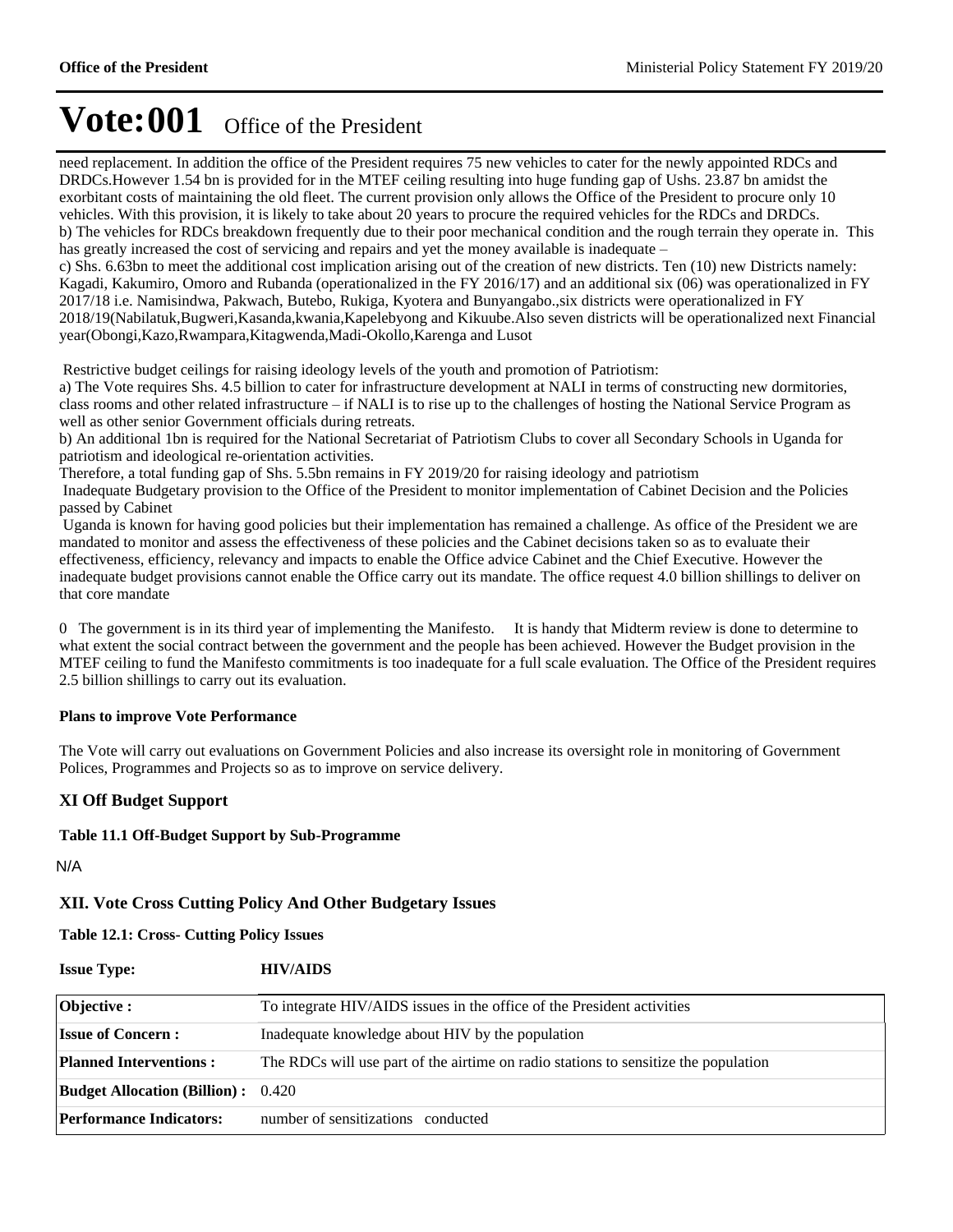need replacement. In addition the office of the President requires 75 new vehicles to cater for the newly appointed RDCs and DRDCs.However 1.54 bn is provided for in the MTEF ceiling resulting into huge funding gap of Ushs. 23.87 bn amidst the exorbitant costs of maintaining the old fleet. The current provision only allows the Office of the President to procure only 10 vehicles. With this provision, it is likely to take about 20 years to procure the required vehicles for the RDCs and DRDCs. b) The vehicles for RDCs breakdown frequently due to their poor mechanical condition and the rough terrain they operate in. This has greatly increased the cost of servicing and repairs and yet the money available is inadequate  $$ c) Shs. 6.63bn to meet the additional cost implication arising out of the creation of new districts. Ten (10) new Districts namely: Kagadi, Kakumiro, Omoro and Rubanda (operationalized in the FY 2016/17) and an additional six (06) was operationalized in FY 2017/18 i.e. Namisindwa, Pakwach, Butebo, Rukiga, Kyotera and Bunyangabo.,six districts were operationalized in FY 2018/19(Nabilatuk,Bugweri,Kasanda,kwania,Kapelebyong and Kikuube.Also seven districts will be operationalized next Financial year(Obongi,Kazo,Rwampara,Kitagwenda,Madi-Okollo,Karenga and Lusot

Restrictive budget ceilings for raising ideology levels of the youth and promotion of Patriotism:

a) The Vote requires Shs. 4.5 billion to cater for infrastructure development at NALI in terms of constructing new dormitories, class rooms and other related infrastructure  $-i$  if NALI is to rise up to the challenges of hosting the National Service Program as well as other senior Government officials during retreats.

b) An additional 1bn is required for the National Secretariat of Patriotism Clubs to cover all Secondary Schools in Uganda for patriotism and ideological re-orientation activities.

Therefore, a total funding gap of Shs. 5.5bn remains in FY 2019/20 for raising ideology and patriotism

 Inadequate Budgetary provision to the Office of the President to monitor implementation of Cabinet Decision and the Policies passed by Cabinet

 Uganda is known for having good policies but their implementation has remained a challenge. As office of the President we are mandated to monitor and assess the effectiveness of these policies and the Cabinet decisions taken so as to evaluate their effectiveness, efficiency, relevancy and impacts to enable the Office advice Cabinet and the Chief Executive. However the inadequate budget provisions cannot enable the Office carry out its mandate. The office request 4.0 billion shillings to deliver on that core mandate

0 The government is in its third year of implementing the Manifesto. It is handy that Midterm review is done to determine to what extent the social contract between the government and the people has been achieved. However the Budget provision in the MTEF ceiling to fund the Manifesto commitments is too inadequate for a full scale evaluation. The Office of the President requires 2.5 billion shillings to carry out its evaluation.

### **Plans to improve Vote Performance**

The Vote will carry out evaluations on Government Policies and also increase its oversight role in monitoring of Government Polices, Programmes and Projects so as to improve on service delivery.

## **XI Off Budget Support**

#### **Table 11.1 Off-Budget Support by Sub-Programme**

N/A

## **XII. Vote Cross Cutting Policy And Other Budgetary Issues**

## **Issue Type: HIV/AIDS Table 12.1: Cross- Cutting Policy Issues**

| ISSUE LYPE:                               | $\mathbf{H}$ V/AIDS                                                                 |
|-------------------------------------------|-------------------------------------------------------------------------------------|
| Objective :                               | To integrate HIV/AIDS issues in the office of the President activities              |
| <b>Issue of Concern:</b>                  | Inadequate knowledge about HIV by the population                                    |
| <b>Planned Interventions:</b>             | The RDCs will use part of the airtime on radio stations to sensitize the population |
| <b>Budget Allocation (Billion):</b> 0.420 |                                                                                     |
| <b>Performance Indicators:</b>            | number of sensitizations conducted                                                  |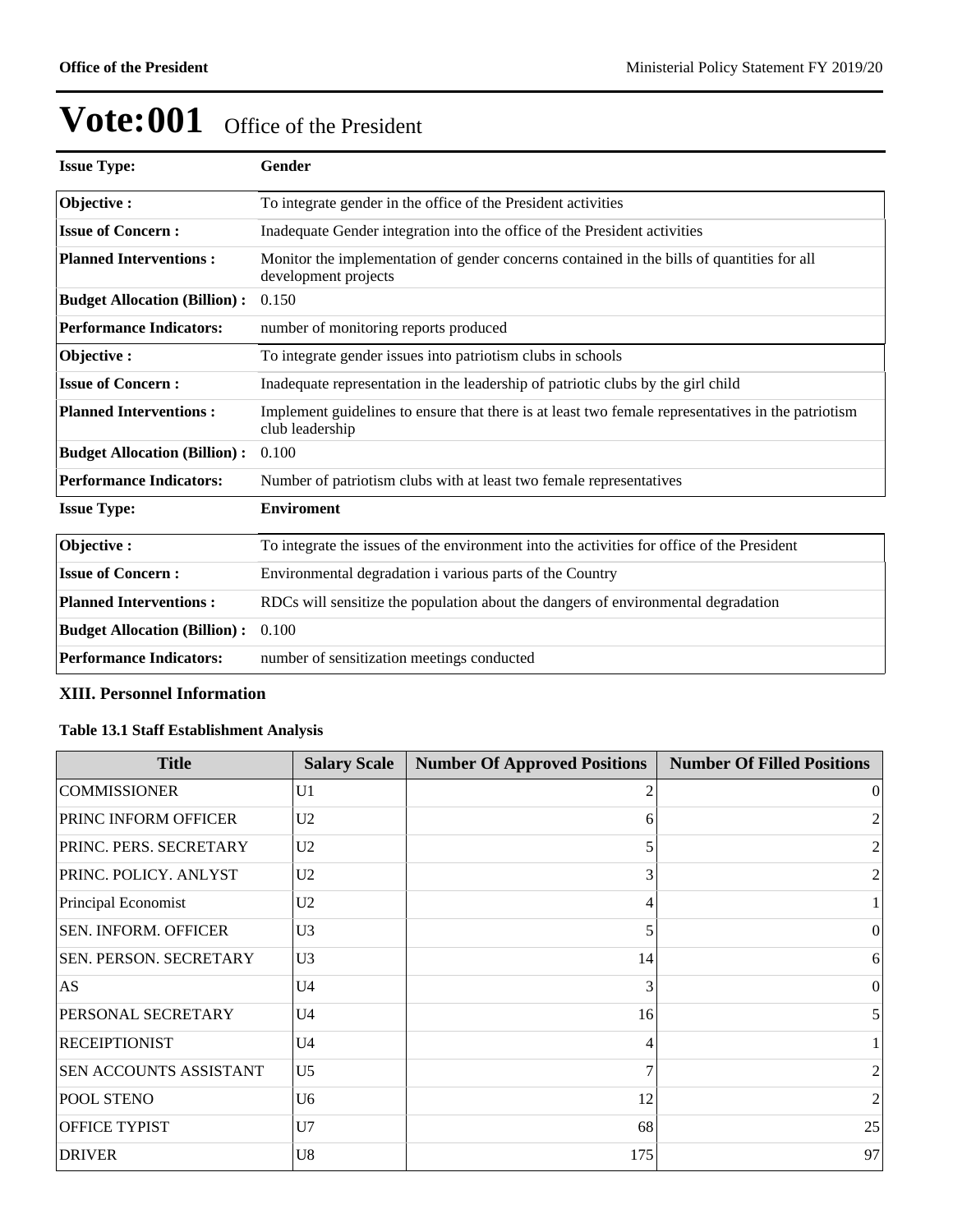| <b>Issue Type:</b>                  | Gender                                                                                                                |
|-------------------------------------|-----------------------------------------------------------------------------------------------------------------------|
| Objective:                          | To integrate gender in the office of the President activities                                                         |
| <b>Issue of Concern:</b>            | Inadequate Gender integration into the office of the President activities                                             |
| <b>Planned Interventions:</b>       | Monitor the implementation of gender concerns contained in the bills of quantities for all<br>development projects    |
| <b>Budget Allocation (Billion):</b> | 0.150                                                                                                                 |
| <b>Performance Indicators:</b>      | number of monitoring reports produced                                                                                 |
| Objective:                          | To integrate gender issues into patriotism clubs in schools                                                           |
| <b>Issue of Concern:</b>            | Inadequate representation in the leadership of patriotic clubs by the girl child                                      |
| <b>Planned Interventions:</b>       | Implement guidelines to ensure that there is at least two female representatives in the patriotism<br>club leadership |
| <b>Budget Allocation (Billion):</b> | 0.100                                                                                                                 |
| <b>Performance Indicators:</b>      | Number of patriotism clubs with at least two female representatives                                                   |
| <b>Issue Type:</b>                  | <b>Enviroment</b>                                                                                                     |
| Objective:                          | To integrate the issues of the environment into the activities for office of the President                            |
| <b>Issue of Concern:</b>            | Environmental degradation i various parts of the Country                                                              |
| <b>Planned Interventions:</b>       | RDCs will sensitize the population about the dangers of environmental degradation                                     |
| <b>Budget Allocation (Billion):</b> | 0.100                                                                                                                 |
| <b>Performance Indicators:</b>      | number of sensitization meetings conducted                                                                            |

## **XIII. Personnel Information**

## **Table 13.1 Staff Establishment Analysis**

| <b>Title</b>                | <b>Salary Scale</b> | <b>Number Of Approved Positions</b> | <b>Number Of Filled Positions</b> |
|-----------------------------|---------------------|-------------------------------------|-----------------------------------|
| <b>COMMISSIONER</b>         | U <sub>1</sub>      | 2                                   | $\vert$ 0                         |
| PRINC INFORM OFFICER        | U <sub>2</sub>      | 6                                   | 2                                 |
| PRINC. PERS. SECRETARY      | U <sub>2</sub>      | 5                                   | 2 <sub>1</sub>                    |
| PRINC. POLICY. ANLYST       | U <sub>2</sub>      | 3                                   | $\vert$ 2                         |
| Principal Economist         | U <sub>2</sub>      | 4                                   |                                   |
| <b>SEN. INFORM. OFFICER</b> | U3                  | 5                                   | $\theta$                          |
| SEN. PERSON. SECRETARY      | U <sub>3</sub>      | 14                                  | 6                                 |
| AS                          | U <sub>4</sub>      | 3                                   | $\theta$                          |
| PERSONAL SECRETARY          | U <sub>4</sub>      | 16                                  | $\mathfrak{S}$                    |
| <b>RECEIPTIONIST</b>        | U <sub>4</sub>      | 4                                   |                                   |
| SEN ACCOUNTS ASSISTANT      | U <sub>5</sub>      | 7                                   | 2 <sub>1</sub>                    |
| POOL STENO                  | U <sub>6</sub>      | 12                                  | $\overline{2}$                    |
| OFFICE TYPIST               | U7                  | 68                                  | 25                                |
| <b>DRIVER</b>               | U <sub>8</sub>      | 175                                 | 97                                |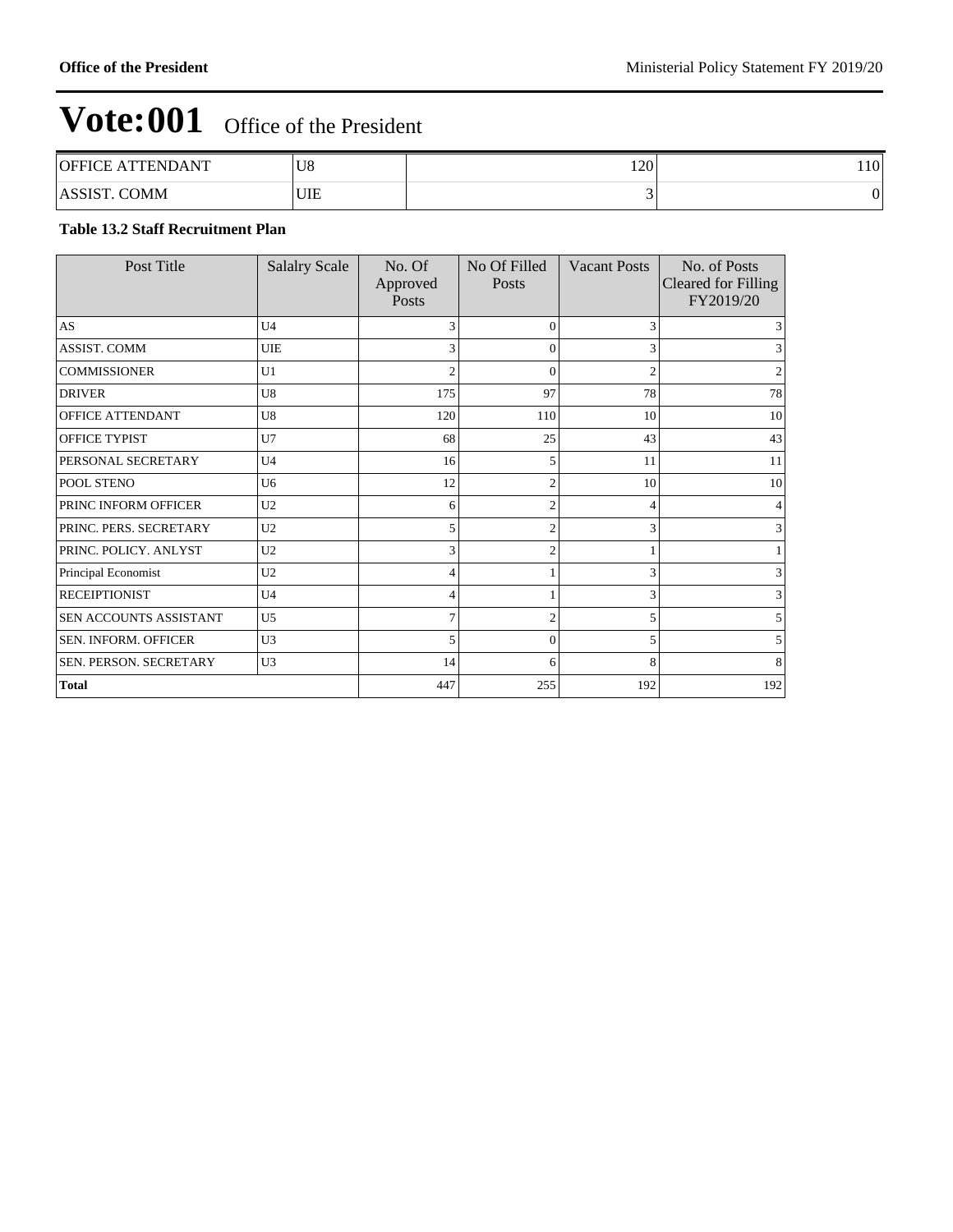| <b>OFFICE ATTENDANT</b>      | U8  | 120' | 110 <sup>1</sup> |
|------------------------------|-----|------|------------------|
| <b>COMM</b><br><b>ASSIST</b> | UIE |      | 0                |

#### **Table 13.2 Staff Recruitment Plan**

| Post Title             | <b>Salalry Scale</b> | No. Of<br>Approved<br>Posts | No Of Filled<br>Posts | <b>Vacant Posts</b> | No. of Posts<br><b>Cleared for Filling</b><br>FY2019/20 |
|------------------------|----------------------|-----------------------------|-----------------------|---------------------|---------------------------------------------------------|
| AS                     | U <sub>4</sub>       | 3                           | $\theta$              | 3                   |                                                         |
| ASSIST. COMM           | UIE                  | 3                           | $\theta$              | 3                   |                                                         |
| <b>COMMISSIONER</b>    | U1                   | $\overline{2}$              | $\overline{0}$        | $\overline{2}$      |                                                         |
| <b>DRIVER</b>          | U8                   | 175                         | 97                    | 78                  | 78                                                      |
| OFFICE ATTENDANT       | U8                   | 120                         | 110                   | 10                  | 10                                                      |
| OFFICE TYPIST          | U7                   | 68                          | 25                    | 43                  | 43                                                      |
| PERSONAL SECRETARY     | U <sub>4</sub>       | 16                          | 5                     | 11                  | 11                                                      |
| POOL STENO             | U <sub>6</sub>       | 12                          | $\mathfrak{D}$        | 10                  | 10                                                      |
| PRINC INFORM OFFICER   | U <sub>2</sub>       | 6                           | $\overline{c}$        | 4                   |                                                         |
| PRINC. PERS. SECRETARY | U2                   | 5                           | $\overline{c}$        | 3                   |                                                         |
| PRINC. POLICY. ANLYST  | U2                   | 3                           | $\overline{c}$        |                     |                                                         |
| Principal Economist    | U <sub>2</sub>       | 4                           |                       | 3                   |                                                         |
| <b>RECEIPTIONIST</b>   | U <sub>4</sub>       | $\overline{4}$              |                       | 3                   |                                                         |
| SEN ACCOUNTS ASSISTANT | U <sub>5</sub>       | $\overline{7}$              | $\overline{c}$        | 5                   |                                                         |
| SEN. INFORM. OFFICER   | U3                   | 5                           | $\theta$              | 5                   |                                                         |
| SEN. PERSON. SECRETARY | U3                   | 14                          | 6                     | 8                   | 8                                                       |
| <b>Total</b>           |                      | 447                         | 255                   | 192                 | 192                                                     |